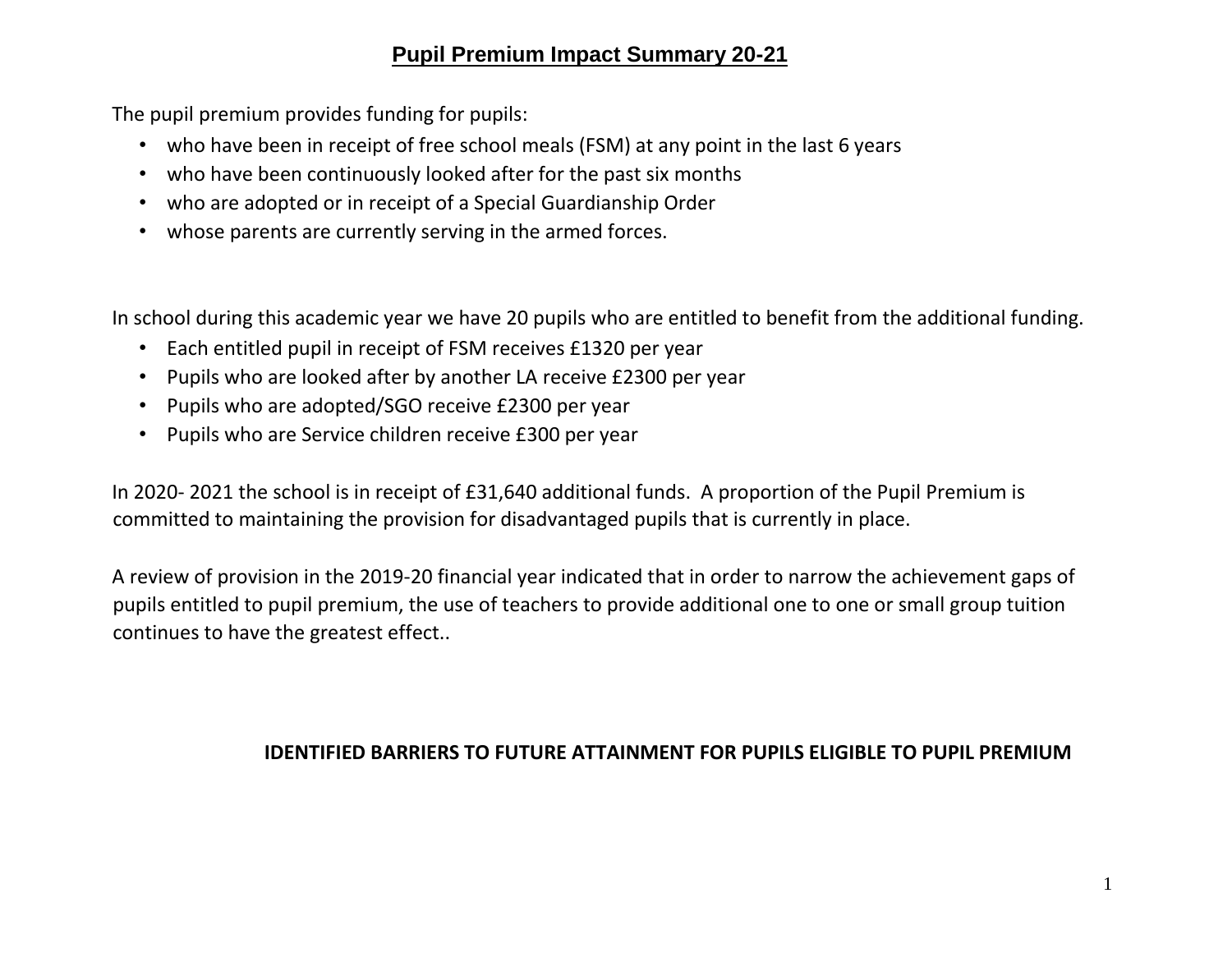## **Pupil Premium Impact Summary 20-21**

The pupil premium provides funding for pupils:

- who have been in receipt of free school meals (FSM) at any point in the last 6 years
- who have been continuously looked after for the past six months
- who are adopted or in receipt of a Special Guardianship Order
- whose parents are currently serving in the armed forces.

In school during this academic year we have 20 pupils who are entitled to benefit from the additional funding.

- Each entitled pupil in receipt of FSM receives £1320 per year
- Pupils who are looked after by another LA receive £2300 per year
- Pupils who are adopted/SGO receive £2300 per year
- Pupils who are Service children receive £300 per year

In 2020- 2021 the school is in receipt of £31,640 additional funds. A proportion of the Pupil Premium is committed to maintaining the provision for disadvantaged pupils that is currently in place.

A review of provision in the 2019-20 financial year indicated that in order to narrow the achievement gaps of pupils entitled to pupil premium, the use of teachers to provide additional one to one or small group tuition continues to have the greatest effect..

## **IDENTIFIED BARRIERS TO FUTURE ATTAINMENT FOR PUPILS ELIGIBLE TO PUPIL PREMIUM**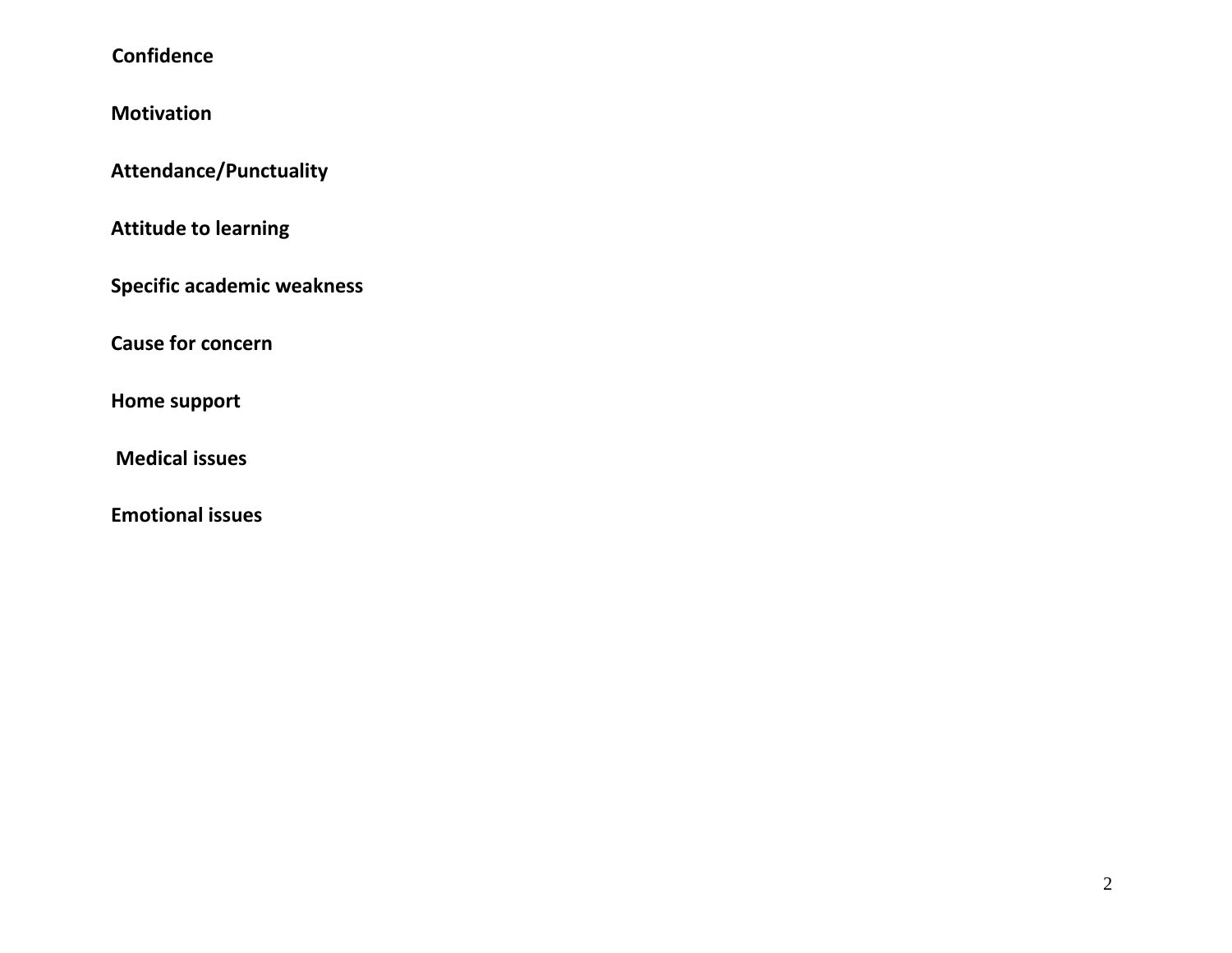## **Confidence**

**Motivation** 

**Attendance/Punctuality** 

**Attitude to learning** 

**Specific academic weakness** 

**Cause for concern** 

**Home support** 

**Medical issues** 

**Emotional issues**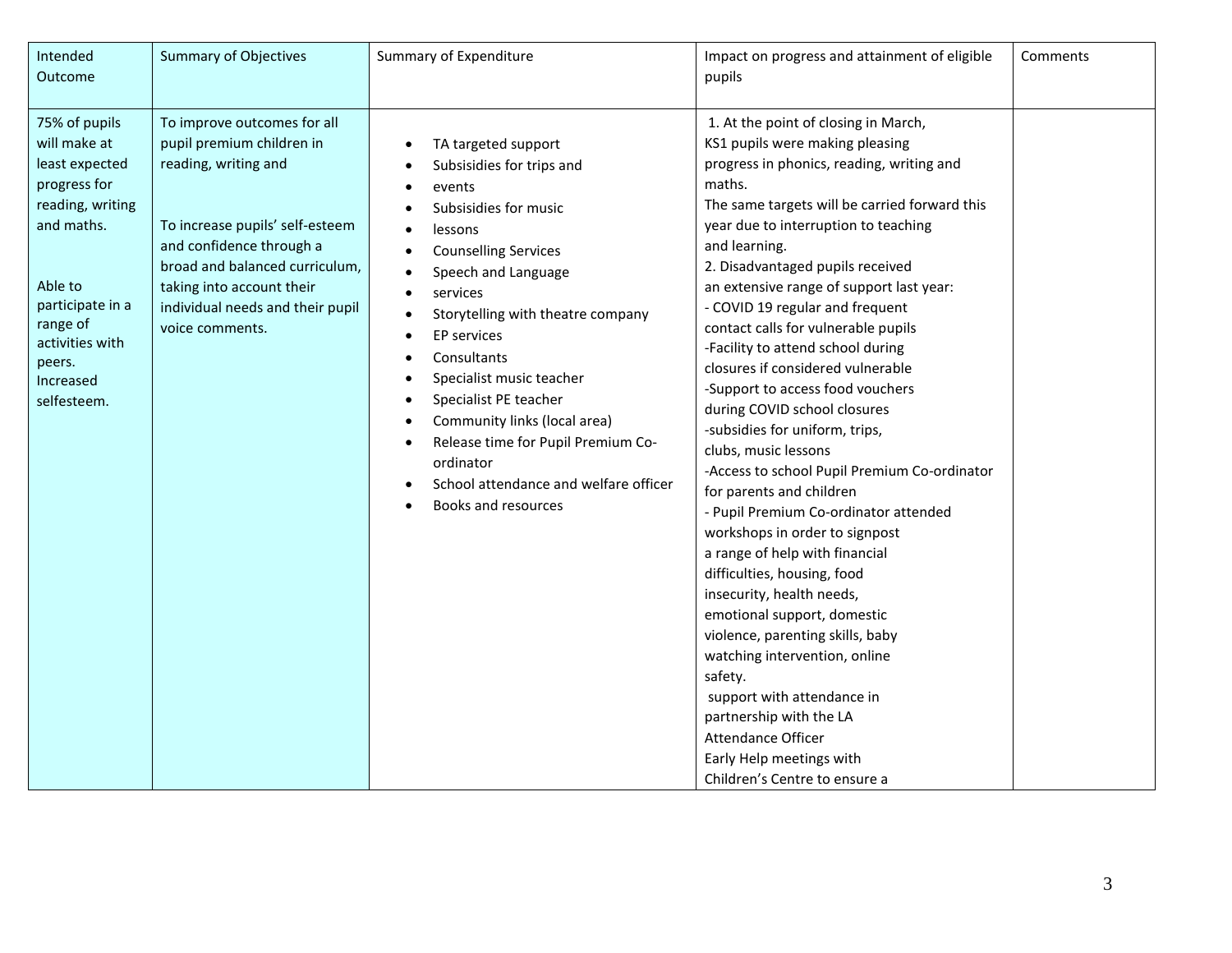| Intended<br>Outcome                                                                                                                                                                                   | <b>Summary of Objectives</b>                                                                                                                                                                                                                                          | Summary of Expenditure                                                                                                                                                                                                                                                                                                                                                                                                                                                    | Impact on progress and attainment of eligible<br>pupils                                                                                                                                                                                                                                                                                                                                                                                                                                                                                                                                                                                                                                                                                                                                                                                                                                                                                                                                                                                                                                                                           | Comments |
|-------------------------------------------------------------------------------------------------------------------------------------------------------------------------------------------------------|-----------------------------------------------------------------------------------------------------------------------------------------------------------------------------------------------------------------------------------------------------------------------|---------------------------------------------------------------------------------------------------------------------------------------------------------------------------------------------------------------------------------------------------------------------------------------------------------------------------------------------------------------------------------------------------------------------------------------------------------------------------|-----------------------------------------------------------------------------------------------------------------------------------------------------------------------------------------------------------------------------------------------------------------------------------------------------------------------------------------------------------------------------------------------------------------------------------------------------------------------------------------------------------------------------------------------------------------------------------------------------------------------------------------------------------------------------------------------------------------------------------------------------------------------------------------------------------------------------------------------------------------------------------------------------------------------------------------------------------------------------------------------------------------------------------------------------------------------------------------------------------------------------------|----------|
| 75% of pupils<br>will make at<br>least expected<br>progress for<br>reading, writing<br>and maths.<br>Able to<br>participate in a<br>range of<br>activities with<br>peers.<br>Increased<br>selfesteem. | To improve outcomes for all<br>pupil premium children in<br>reading, writing and<br>To increase pupils' self-esteem<br>and confidence through a<br>broad and balanced curriculum,<br>taking into account their<br>individual needs and their pupil<br>voice comments. | TA targeted support<br>Subsisidies for trips and<br>events<br>٠<br>Subsisidies for music<br>lessons<br>$\bullet$<br><b>Counselling Services</b><br>Speech and Language<br>services<br>Storytelling with theatre company<br><b>EP</b> services<br>Consultants<br>Specialist music teacher<br>٠<br>Specialist PE teacher<br>Community links (local area)<br>Release time for Pupil Premium Co-<br>ordinator<br>School attendance and welfare officer<br>Books and resources | 1. At the point of closing in March,<br>KS1 pupils were making pleasing<br>progress in phonics, reading, writing and<br>maths.<br>The same targets will be carried forward this<br>year due to interruption to teaching<br>and learning.<br>2. Disadvantaged pupils received<br>an extensive range of support last year:<br>- COVID 19 regular and frequent<br>contact calls for vulnerable pupils<br>-Facility to attend school during<br>closures if considered vulnerable<br>-Support to access food vouchers<br>during COVID school closures<br>-subsidies for uniform, trips,<br>clubs, music lessons<br>-Access to school Pupil Premium Co-ordinator<br>for parents and children<br>- Pupil Premium Co-ordinator attended<br>workshops in order to signpost<br>a range of help with financial<br>difficulties, housing, food<br>insecurity, health needs,<br>emotional support, domestic<br>violence, parenting skills, baby<br>watching intervention, online<br>safety.<br>support with attendance in<br>partnership with the LA<br><b>Attendance Officer</b><br>Early Help meetings with<br>Children's Centre to ensure a |          |